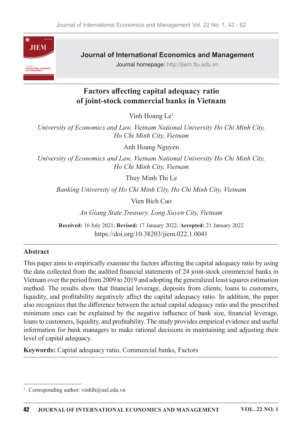

**Journal of International Economics and Management** 

Journal homepage: http://jiem.ftu.edu.vn

# Factors affecting capital adequacy ratio of joint-stock commercial banks in Vietnam

Vinh Hoang Le<sup>1</sup>

University of Economics and Law, Vietnam National University Ho Chi Minh City, Ho Chi Minh City, Vietnam

Anh Hoang Nguyen

University of Economics and Law, Vietnam National University Ho Chi Minh City, Ho Chi Minh City, Vietnam

Thuy Minh Thi Le

Banking University of Ho Chi Minh City, Ho Chi Minh City, Vietnam

Vien Bich Cao

An Giang State Treasury, Long Xuyen City, Vietnam

Received: 16 July 2021; Revised: 17 January 2022; Accepted: 21 January 2022 https://doi.org/10.38203/jiem.022.1.0041

### Abstract

This paper aims to empirically examine the factors affecting the capital adequacy ratio by using the data collected from the audited financial statements of 24 joint-stock commercial banks in Vietnam over the period from 2009 to 2019 and adopting the generalized least squares estimation method. The results show that financial leverage, deposits from clients, loans to customers, liquidity, and profitability negatively affect the capital adequacy ratio. In addition, the paper also recognizes that the difference between the actual capital adequacy ratio and the prescribed minimum ones can be explained by the negative influence of bank size, financial leverage, loans to customers, liquidity, and profitability. The study provides empirical evidence and useful information for bank managers to make rational decisions in maintaining and adjusting their level of capital adequacy.

Keywords: Capital adequacy ratio, Commercial banks, Factors

<sup>&</sup>lt;sup>1</sup> Corresponding author: vinhlh@uel.edu.vn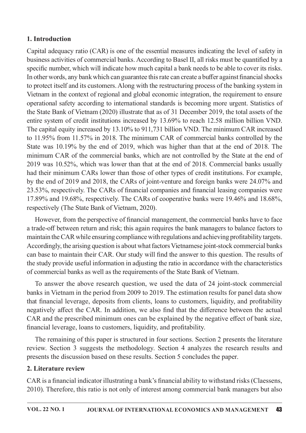### 1. Introduction

Capital adequacy ratio (CAR) is one of the essential measures indicating the level of safety in business activities of commercial banks. According to Basel II, all risks must be quantified by a specific number, which will indicate how much capital a bank needs to be able to cover its risks. In other words, any bank which can guarantee this rate can create a buffer against financial shocks to protect itself and its customers. Along with the restructuring process of the banking system in Vietnam in the context of regional and global economic integration, the requirement to ensure operational safety according to international standards is becoming more urgent. Statistics of the State Bank of Vietnam (2020) illustrate that as of 31 December 2019, the total assets of the entire system of credit institutions increased by 13.69% to reach 12.58 million billion VND. The capital equity increased by 13.10% to 911,731 billion VND. The minimum CAR increased to 11.95% from 11.57% in 2018. The minimum CAR of commercial banks controlled by the State was 10.19% by the end of 2019, which was higher than that at the end of 2018. The minimum CAR of the commercial banks, which are not controlled by the State at the end of 2019 was 10.52%, which was lower than that at the end of 2018. Commercial banks usually had their minimum CARs lower than those of other types of credit institutions. For example, by the end of 2019 and 2018, the CARs of joint-venture and foreign banks were 24.07% and 23.53%, respectively. The CARs of financial companies and financial leasing companies were 17.89% and 19.68%, respectively. The CARs of cooperative banks were 19.46% and 18.68%, respectively (The State Bank of Vietnam, 2020).

However, from the perspective of financial management, the commercial banks have to face a trade-off between return and risk; this again requires the bank managers to balance factors to maintain the CAR while ensuring compliance with regulations and achieving profitability targets. Accordingly, the arising question is about what factors Vietnamese joint-stock commercial banks can base to maintain their CAR. Our study will find the answer to this question. The results of the study provide useful information in adjusting the ratio in accordance with the characteristics of commercial banks as well as the requirements of the State Bank of Vietnam.

To answer the above research question, we used the data of 24 joint-stock commercial banks in Vietnam in the period from 2009 to 2019. The estimation results for panel data show that financial leverage, deposits from clients, loans to customers, liquidity, and profitability negatively affect the CAR. In addition, we also find that the difference between the actual CAR and the prescribed minimum ones can be explained by the negative effect of bank size, financial leverage, loans to customers, liquidity, and profitability.

The remaining of this paper is structured in four sections. Section 2 presents the literature review. Section 3 suggests the methodology. Section 4 analyzes the research results and presents the discussion based on these results. Section 5 concludes the paper.

### 2. Literature review

CAR is a financial indicator illustrating a bank's financial ability to withstand risks (Claessens, 2010). Therefore, this ratio is not only of interest among commercial bank managers but also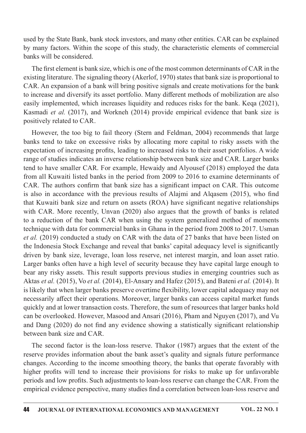used by the State Bank, bank stock investors, and many other entities. CAR can be explained by many factors. Within the scope of this study, the characteristic elements of commercial banks will be considered.

The first element is bank size, which is one of the most common determinants of CAR in the existing literature. The signaling theory (Akerlof, 1970) states that bank size is proportional to CAR. An expansion of a bank will bring positive signals and create motivations for the bank to increase and diversify its asset portfolio. Many different methods of mobilization are also easily implemented, which increases liquidity and reduces risks for the bank. Keqa (2021), Kasmadi et al. (2017), and Workneh (2014) provide empirical evidence that bank size is positively related to CAR.

However, the too big to fail theory (Stern and Feldman, 2004) recommends that large banks tend to take on excessive risks by allocating more capital to risky assets with the expectation of increasing profits, leading to increased risks to their asset portfolios. A wide range of studies indicates an inverse relationship between bank size and CAR. Larger banks tend to have smaller CAR. For example, Hewaidy and Alyousef (2018) employed the data from all Kuwaiti listed banks in the period from 2009 to 2016 to examine determinants of CAR. The authors confirm that bank size has a significant impact on CAR. This outcome is also in accordance with the previous results of Alajmi and Algasem  $(2015)$ , who find that Kuwaiti bank size and return on assets (ROA) have significant negative relationships with CAR. More recently, Unvan (2020) also argues that the growth of banks is related to a reduction of the bank CAR when using the system generalized method of moments technique with data for commercial banks in Ghana in the period from 2008 to 2017. Usman et al. (2019) conducted a study on CAR with the data of 27 banks that have been listed on the Indonesia Stock Exchange and reveal that banks' capital adequacy level is significantly driven by bank size, leverage, loan loss reserve, net interest margin, and loan asset ratio. Larger banks often have a high level of security because they have capital large enough to bear any risky assets. This result supports previous studies in emerging countries such as Aktas et al. (2015), Vo et al. (2014), El-Ansary and Hafez (2015), and Bateni et al. (2014). It is likely that when larger banks preserve overtime flexibility, lower capital adequacy may not necessarily affect their operations. Moreover, larger banks can access capital market funds quickly and at lower transaction costs. Therefore, the sum of resources that larger banks hold can be overlooked. However, Masood and Ansari (2016), Pham and Nguyen (2017), and Vu and Dang (2020) do not find any evidence showing a statistically significant relationship between bank size and CAR.

The second factor is the loan-loss reserve. Thakor (1987) argues that the extent of the reserve provides information about the bank asset's quality and signals future performance changes. According to the income smoothing theory, the banks that operate favorably with higher profits will tend to increase their provisions for risks to make up for unfavorable periods and low profits. Such adjustments to loan-loss reserve can change the CAR. From the empirical evidence perspective, many studies find a correlation between loan-loss reserve and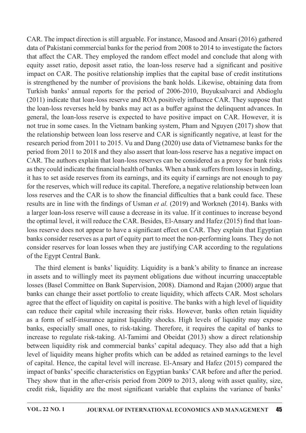CAR. The impact direction is still arguable. For instance, Masood and Ansari (2016) gathered data of Pakistani commercial banks for the period from 2008 to 2014 to investigate the factors that affect the CAR. They employed the random effect model and conclude that along with equity asset ratio, deposit asset ratio, the loan-loss reserve had a significant and positive impact on CAR. The positive relationship implies that the capital base of credit institutions is strengthened by the number of provisions the bank holds. Likewise, obtaining data from Turkish banks' annual reports for the period of 2006-2010, Buyuksalvarci and Abdioglu (2011) indicate that loan-loss reserve and ROA positively influence CAR. They suppose that the loan-loss reverses held by banks may act as a buffer against the delinquent advances. In general, the loan-loss reserve is expected to have positive impact on CAR. However, it is not true in some cases. In the Vietnam banking system, Pham and Nguyen (2017) show that the relationship between loan loss reserve and CAR is significantly negative, at least for the research period from 2011 to 2015. Vu and Dang  $(2020)$  use data of Vietnamese banks for the period from 2011 to 2018 and they also assert that loan-loss reserve has a negative impact on CAR. The authors explain that loan-loss reserves can be considered as a proxy for bank risks as they could indicate the financial health of banks. When a bank suffers from losses in lending, it has to set aside reserves from its earnings, and its equity if earnings are not enough to pay for the reserves, which will reduce its capital. Therefore, a negative relationship between loan loss reserves and the CAR is to show the financial difficulties that a bank could face. These results are in line with the findings of Usman et al. (2019) and Workneh (2014). Banks with a larger loan-loss reserve will cause a decrease in its value. If it continues to increase beyond the optimal level, it will reduce the CAR. Besides, El-Ansary and Hafez (2015) find that loanloss reserve does not appear to have a significant effect on CAR. They explain that Egyptian banks consider reserves as a part of equity part to meet the non-performing loans. They do not consider reserves for loan losses when they are justifying CAR according to the regulations of the Egypt Central Bank.

The third element is banks' liquidity. Liquidity is a bank's ability to finance an increase in assets and to willingly meet its payment obligations due without incurring unacceptable losses (Basel Committee on Bank Supervision, 2008). Diamond and Rajan (2000) argue that banks can change their asset portfolio to create liquidity, which affects CAR. Most scholars agree that the effect of liquidity on capital is positive. The banks with a high level of liquidity can reduce their capital while increasing their risks. However, banks often retain liquidity as a form of self-insurance against liquidity shocks. High levels of liquidity may expose banks, especially small ones, to risk-taking. Therefore, it requires the capital of banks to increase to regulate risk-taking. Al-Tamimi and Obeidat (2013) show a direct relationship between liquidity risk and commercial banks' capital adequacy. They also add that a high level of liquidity means higher profits which can be added as retained earnings to the level of capital. Hence, the capital level will increase. El-Ansary and Hafez (2015) compared the impact of banks' specific characteristics on Egyptian banks' CAR before and after the period. They show that in the after-crisis period from 2009 to 2013, along with asset quality, size, credit risk, liquidity are the most significant variable that explains the variance of banks'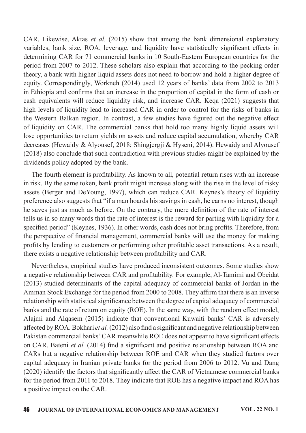CAR. Likewise, Aktas et al.  $(2015)$  show that among the bank dimensional explanatory variables, bank size, ROA, leverage, and liquidity have statistically significant effects in determining CAR for 71 commercial banks in 10 South-Eastern European countries for the period from 2007 to 2012. These scholars also explain that according to the pecking order theory, a bank with higher liquid assets does not need to borrow and hold a higher degree of equity. Correspondingly, Workneh (2014) used 12 years of banks' data from 2002 to 2013 in Ethiopia and confirms that an increase in the proportion of capital in the form of cash or cash equivalents will reduce liquidity risk, and increase CAR. Keqa (2021) suggests that high levels of liquidity lead to increased CAR in order to control for the risks of banks in the Western Balkan region. In contrast, a few studies have figured out the negative effect of liquidity on CAR. The commercial banks that hold too many highly liquid assets will lose opportunities to return yields on assets and reduce capital accumulation, whereby CAR decreases (Hewaidy & Alyousef, 2018; Shingjergji & Hyseni, 2014). Hewaidy and Alyousef  $(2018)$  also conclude that such contradiction with previous studies might be explained by the dividends policy adopted by the bank.

The fourth element is profitability. As known to all, potential return rises with an increase in risk. By the same token, bank profit might increase along with the rise in the level of risky assets (Berger and DeYoung, 1997), which can reduce CAR. Keynes's theory of liquidity preference also suggests that "if a man hoards his savings in cash, he earns no interest, though he saves just as much as before. On the contrary, the mere definition of the rate of interest tells us in so many words that the rate of interest is the reward for parting with liquidity for a specified period" (Keynes, 1936). In other words, cash does not bring profits. Therefore, from the perspective of financial management, commercial banks will use the money for making profits by lending to customers or performing other profitable asset transactions. As a result, there exists a negative relationship between profitability and CAR.

Nevertheless, empirical studies have produced inconsistent outcomes. Some studies show a negative relationship between CAR and profitability. For example, Al-Tamimi and Obeidat  $(2013)$  studied determinants of the capital adequacy of commercial banks of Jordan in the Amman Stock Exchange for the period from 2000 to 2008. They affirm that there is an inverse relationship with statistical significance between the degree of capital adequacy of commercial banks and the rate of return on equity (ROE). In the same way, with the random effect model, Alajmi and Alqasem (2015) indicate that conventional Kuwaiti banks' CAR is adversely affected by ROA. Bokhari et al. (2012) also find a significant and negative relationship between Pakistan commercial banks' CAR meanwhile ROE does not appear to have significant effects on CAR. Bateni et al. (2014) find a significant and positive relationship between ROA and CARs but a negative relationship between ROE and CAR when they studied factors over capital adequacy in Iranian private banks for the period from 2006 to 2012. Vu and Dang  $(2020)$  identify the factors that significantly affect the CAR of Vietnamese commercial banks for the period from 2011 to 2018. They indicate that ROE has a negative impact and ROA has a positive impact on the CAR.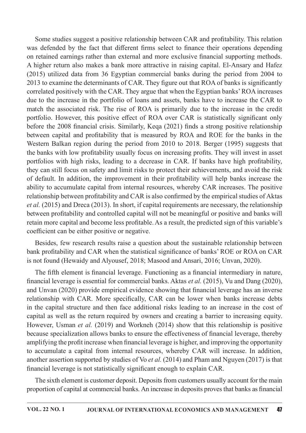Some studies suggest a positive relationship between CAR and profitability. This relation was defended by the fact that different firms select to finance their operations depending on retained earnings rather than external and more exclusive financial supporting methods. A higher return also makes a bank more attractive in raising capital. El-Ansary and Hafez (2015) utilized data from 36 Egyptian commercial banks during the period from 2004 to 2013 to examine the determinants of CAR. They figure out that ROA of banks is significantly correlated positively with the CAR. They argue that when the Egyptian banks' ROA increases due to the increase in the portfolio of loans and assets, banks have to increase the CAR to match the associated risk. The rise of ROA is primarily due to the increase in the credit portfolio. However, this positive effect of ROA over CAR is statistically significant only before the  $2008$  financial crisis. Similarly, Keqa (2021) finds a strong positive relationship between capital and profitability that is measured by ROA and ROE for the banks in the Western Balkan region during the period from 2010 to 2018. Berger (1995) suggests that the banks with low profitability usually focus on increasing profits. They will invest in asset portfolios with high risks, leading to a decrease in CAR. If banks have high profitability, they can still focus on safety and limit risks to protect their achievements, and avoid the risk of default. In addition, the improvement in their profitability will help banks increase the ability to accumulate capital from internal resources, whereby CAR increases. The positive relationship between profitability and CAR is also confirmed by the empirical studies of Aktas *et al.* (2015) and Dreca (2013). In short, if capital requirements are necessary, the relationship between profitability and controlled capital will not be meaningful or positive and banks will retain more capital and become less profitable. As a result, the predicted sign of this variable's coefficient can be either positive or negative.

Besides, few research results raise a question about the sustainable relationship between bank profitability and CAR when the statistical significance of banks' ROE or ROA on CAR is not found (Hewaidy and Alyousef, 2018; Masood and Ansari, 2016; Unvan, 2020).

The fifth element is financial leverage. Functioning as a financial intermediary in nature, financial leverage is essential for commercial banks. Aktas *et al.* (2015), Vu and Dang (2020), and Unvan (2020) provide empirical evidence showing that financial leverage has an inverse relationship with CAR. More specifically, CAR can be lower when banks increase debts in the capital structure and then face additional risks leading to an increase in the cost of capital as well as the return required by owners and creating a barrier to increasing equity. However, Usman *et al.* (2019) and Workneh (2014) show that this relationship is positive because specialization allows banks to ensure the effectiveness of financial leverage, thereby amplifying the profit increase when financial leverage is higher, and improving the opportunity to accumulate a capital from internal resources, whereby CAR will increase. In addition, another assertion supported by studies of Vo *et al.* (2014) and Pham and Nguyen (2017) is that financial leverage is not statistically significant enough to explain CAR.

The sixth element is customer deposit. Deposits from customers usually account for the main proportion of capital at commercial banks. An increase in deposits proves that banks as financial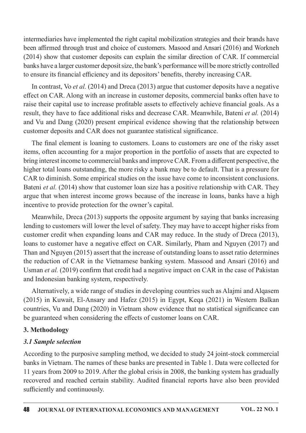intermediaries have implemented the right capital mobilization strategies and their brands have been affirmed through trust and choice of customers. Masood and Ansari (2016) and Workneh  $(2014)$  show that customer deposits can explain the similar direction of CAR. If commercial banks have a larger customer deposit size, the bank's performance will be more strictly controlled to ensure its financial efficiency and its depositors' benefits, thereby increasing CAR.

In contrast, Vo *et al.* (2014) and Dreca (2013) argue that customer deposits have a negative effect on CAR. Along with an increase in customer deposits, commercial banks often have to raise their capital use to increase profitable assets to effectively achieve financial goals. As a result, they have to face additional risks and decrease CAR. Meanwhile, Bateni *et al.* (2014) and Vu and Dang (2020) present empirical evidence showing that the relationship between customer deposits and CAR does not guarantee statistical significance.

The final element is loaning to customers. Loans to customers are one of the risky asset items, often accounting for a major proportion in the portfolio of assets that are expected to bring interest income to commercial banks and improve CAR. From a different perspective, the higher total loans outstanding, the more risky a bank may be to default. That is a pressure for CAR to diminish. Some empirical studies on the issue have come to inconsistent conclusions. Bateni et al. (2014) show that customer loan size has a positive relationship with CAR. They argue that when interest income grows because of the increase in loans, banks have a high incentive to provide protection for the owner's capital.

Meanwhile, Dreca (2013) supports the opposite argument by saying that banks increasing lending to customers will lower the level of safety. They may have to accept higher risks from customer credit when expanding loans and CAR may reduce. In the study of Dreca (2013), loans to customer have a negative effect on CAR. Similarly, Pham and Nguyen (2017) and Than and Nguyen (2015) assert that the increase of outstanding loans to asset ratio determines the reduction of CAR in the Vietnamese banking system. Massood and Ansari (2016) and Usman et al. (2019) confirm that credit had a negative impact on CAR in the case of Pakistan and Indonesian banking system, respectively.

Alternatively, a wide range of studies in developing countries such as Alajmi and Alqasem (2015) in Kuwait, El-Ansary and Hafez (2015) in Egypt, Keqa (2021) in Western Balkan countries, Vu and Dang (2020) in Vietnam show evidence that no statistical significance can be guaranteed when considering the effects of customer loans on CAR.

### 3.Methodology

### **3.1 Sample selection**

According to the purposive sampling method, we decided to study 24 joint-stock commercial banks in Vietnam. The names of these banks are presented in Table 1. Data were collected for 11 years from 2009 to 2019. After the global crisis in 2008, the banking system has gradually recovered and reached certain stability. Audited financial reports have also been provided sufficiently and continuously.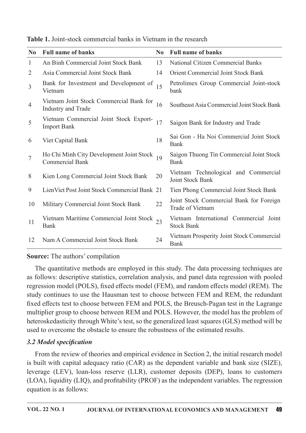| N <sub>0</sub> | <b>Full name of banks</b>                                          | N <sub>0</sub> | <b>Full name of banks</b>                                       |
|----------------|--------------------------------------------------------------------|----------------|-----------------------------------------------------------------|
| $\mathbf{1}$   | An Binh Commercial Joint Stock Bank                                | 13             | <b>National Citizen Commercial Banks</b>                        |
| $\overline{2}$ | Asia Commercial Joint Stock Bank                                   | 14             | <b>Orient Commercial Joint Stock Bank</b>                       |
| $\overline{3}$ | Bank for Investment and Development of<br>Vietnam                  | 15             | Petrolimex Group Commercial Joint-stock<br>bank                 |
| $\overline{4}$ | Vietnam Joint Stock Commercial Bank for<br>Industry and Trade      | 16             | Southeast Asia Commercial Joint Stock Bank                      |
| 5              | Vietnam Commercial Joint Stock Export-<br><b>Import Bank</b>       | 17             | Saigon Bank for Industry and Trade                              |
| 6              | Viet Capital Bank                                                  | 18             | Sai Gon - Ha Noi Commercial Joint Stock<br><b>Bank</b>          |
| $\overline{7}$ | Ho Chi Minh City Development Joint Stock<br><b>Commercial Bank</b> | 19             | Saigon Thuong Tin Commercial Joint Stock<br><b>Bank</b>         |
| 8              | Kien Long Commercial Joint Stock Bank                              | 20             | Vietnam Technological and Commercial<br><b>Joint Stock Bank</b> |
| 9              | LienViet Post Joint Stock Commercial Bank 21                       |                | Tien Phong Commercial Joint Stock Bank                          |
| 10             | Military Commercial Joint Stock Bank                               | 22             | Joint Stock Commercial Bank for Foreign<br>Trade of Vietnam     |
| 11             | Vietnam Maritime Commercial Joint Stock 23<br>Bank                 |                | Vietnam International Commercial Joint<br><b>Stock Bank</b>     |
| 12             | Nam A Commercial Joint Stock Bank                                  | 24             | Vietnam Prosperity Joint Stock Commercial<br><b>Bank</b>        |

Table 1. Joint-stock commercial banks in Vietnam in the research

## Source: The authors' compilation

The quantitative methods are employed in this study. The data processing techniques are as follows: descriptive statistics, correlation analysis, and panel data regression with pooled regression model (POLS), fixed effects model (FEM), and random effects model (REM). The study continues to use the Hausman test to choose between FEM and REM, the redundant fixed effects test to choose between FEM and POLS, the Breusch-Pagan test in the Lagrange multiplier group to choose between REM and POLS. However, the model has the problem of heteroskedasticity through White's test, so the generalized least squares (GLS) method will be used to overcome the obstacle to ensure the robustness of the estimated results.

### 3.2 Model specification

From the review of theories and empirical evidence in Section 2, the initial research model is built with capital adequacy ratio  $(CAR)$  as the dependent variable and bank size (SIZE), leverage (LEV), loan-loss reserve (LLR), customer deposits (DEP), loans to customers  $(LOA)$ , liquidity  $(LIQ)$ , and profitability (PROF) as the independent variables. The regression equation is as follows: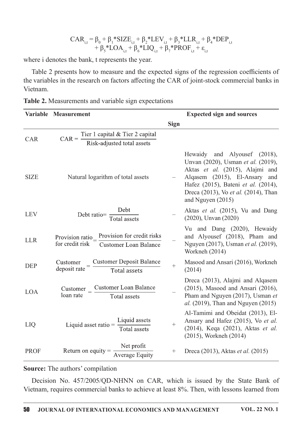$$
CAR_{i,t} = \beta_0 + \beta_1 * SIZE_{i,t} + \beta_2 * LEV_{i,t} + \beta_3 * LLR_{i,t} + \beta_4 * DEP_{i,t} + \beta_5 * LOA_{i,t} + \beta_6 * LIQ_{i,t} + \beta_7 * PROF_{i,t} + \epsilon_{i,t}
$$

where i denotes the bank, t represents the year.

Table 2 presents how to measure and the expected signs of the regression coefficients of the variables in the research on factors affecting the CAR of joint-stock commercial banks in Vietnam.

| Table 2. Measurements and variable sign expectations |  |  |
|------------------------------------------------------|--|--|
|------------------------------------------------------|--|--|

|             | Variable Measurement                                                               |             | <b>Expected sign and sources</b>                                                                                                                                                                                                           |
|-------------|------------------------------------------------------------------------------------|-------------|--------------------------------------------------------------------------------------------------------------------------------------------------------------------------------------------------------------------------------------------|
|             |                                                                                    | <b>Sign</b> |                                                                                                                                                                                                                                            |
| <b>CAR</b>  | $CAR =$ Tier 1 capital & Tier 2 capital<br>Risk-adjusted total assets              |             |                                                                                                                                                                                                                                            |
| <b>SIZE</b> | Natural logarithm of total assets                                                  |             | Hewaidy and Alyousef (2018),<br>Unvan (2020), Usman et al. (2019),<br>Aktas et al. (2015), Alajmi and<br>Alqasem (2015), El-Ansary and<br>Hafez (2015), Bateni et al. (2014),<br>Dreca (2013), Vo et al. (2014), Than<br>and Nguyen (2015) |
| <b>LEV</b>  | Debt ratio= $\frac{\text{Debt}}{\text{Total assets}}$                              |             | Aktas et al. (2015), Vu and Dang<br>$(2020)$ , Unvan $(2020)$                                                                                                                                                                              |
| <b>LLR</b>  | Provision ratio $=$ $\frac{Provision for credit risks}{Customer Loan Balance}$     |             | Vu and Dang (2020), Hewaidy<br>and Alyousef (2018), Pham and<br>Nguyen (2017), Usman et al. (2019),<br>Workneh (2014)                                                                                                                      |
| <b>DEP</b>  | <b>Customer Deposit Balance</b><br>Customer<br>deposit rate<br><b>Total assets</b> | $^{+}$      | Masood and Ansari (2016), Workneh<br>(2014)                                                                                                                                                                                                |
| <b>LOA</b>  | $\frac{Customer}{load rate} = \frac{Customer}{Total assets}$<br>loan rate          |             | Dreca (2013), Alajmi and Alqasem<br>$(2015)$ , Masood and Ansari $(2016)$ ,<br>Pham and Nguyen (2017), Usman et<br><i>al.</i> (2019), Than and Nguyen (2015)                                                                               |
| LIQ         | Liquid asset ratio $=$ $\frac{\text{Liquid assets}}{\text{Total assets}}$          | $^{+}$      | Al-Tamimi and Obeidat (2013), El-<br>Ansary and Hafez (2015), Vo et al.<br>(2014), Keqa (2021), Aktas et al.<br>(2015), Workneh (2014)                                                                                                     |
| <b>PROF</b> | Return on equity = $\frac{\text{Net profit}}{\text{Average Equity}}$               |             | Dreca (2013), Aktas <i>et al.</i> (2015)                                                                                                                                                                                                   |

### Source: The authors' compilation

Decision No. 457/2005/QD-NHNN on CAR, which is issued by the State Bank of Vietnam, requires commercial banks to achieve at least 8%. Then, with lessons learned from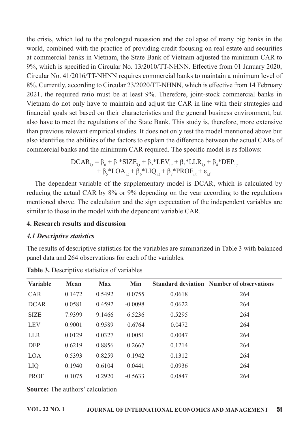the crisis, which led to the prolonged recession and the collapse of many big banks in the world, combined with the practice of providing credit focusing on real estate and securities at commercial banks in Vietnam, the State Bank of Vietnam adjusted the minimum CAR to 9%, which is specified in Circular No. 13/2010/TT-NHNN. Effective from 01 January 2020, Circular No. 41/2016/TT-NHNN requires commercial banks to maintain a minimum level of 8%. Currently, according to Circular 23/2020/TT-NHNN, which is effective from 14 February 2021, the required ratio must be at least 9%. Therefore, joint-stock commercial banks in Vietnam do not only have to maintain and adjust the CAR in line with their strategies and financial goals set based on their characteristics and the general business environment, but also have to meet the regulations of the State Bank. This study is, therefore, more extensive than previous relevant empirical studies. It does not only test the model mentioned above but also identifies the abilities of the factors to explain the difference between the actual CARs of commercial banks and the minimum CAR required. The specific model is as follows:

$$
DCAR_{i,t} = \beta_0 + \beta_1 * SIZE_{i,t} + \beta_2 * LEV_{i,t} + \beta_3 * LLR_{i,t} + \beta_4 * DEP_{i,t} + \beta_5 * LOA_{i,t} + \beta_6 * LIQ_{i,t} + \beta_7 * PROF_{i,t} + \epsilon_{i,t}.
$$

The dependent variable of the supplementary model is DCAR, which is calculated by reducing the actual CAR by 8% or 9% depending on the year according to the regulations mentioned above. The calculation and the sign expectation of the independent variables are similar to those in the model with the dependent variable CAR.

#### 4. Research results and discussion

#### **4.1 Descriptive statistics**

The results of descriptive statistics for the variables are summarized in Table 3 with balanced panel data and 264 observations for each of the variables.

| <b>Variable</b> | <b>Mean</b> | <b>Max</b> | Min       |        | <b>Standard deviation Number of observations</b> |  |
|-----------------|-------------|------------|-----------|--------|--------------------------------------------------|--|
| <b>CAR</b>      | 0.1472      | 0.5492     | 0.0755    | 0.0618 | 264                                              |  |
| <b>DCAR</b>     | 0.0581      | 0.4592     | $-0.0098$ | 0.0622 | 264                                              |  |
| <b>SIZE</b>     | 7.9399      | 9.1466     | 6.5236    | 0.5295 | 264                                              |  |
| <b>LEV</b>      | 0.9001      | 0.9589     | 0.6764    | 0.0472 | 264                                              |  |
| <b>LLR</b>      | 0.0129      | 0.0327     | 0.0051    | 0.0047 | 264                                              |  |
| <b>DEP</b>      | 0.6219      | 0.8856     | 0.2667    | 0.1214 | 264                                              |  |
| <b>LOA</b>      | 0.5393      | 0.8259     | 0.1942    | 0.1312 | 264                                              |  |
| LIQ             | 0.1940      | 0.6104     | 0.0441    | 0.0936 | 264                                              |  |
| <b>PROF</b>     | 0.1075      | 0.2920     | $-0.5633$ | 0.0847 | 264                                              |  |

Table 3. Descriptive statistics of variables

**Source:** The authors' calculation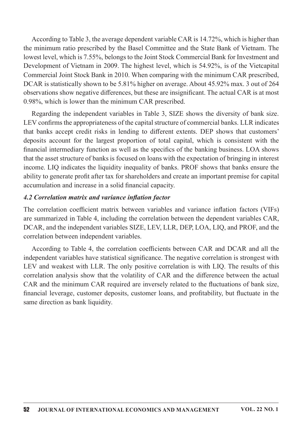According to Table 3, the average dependent variable CAR is  $14.72\%$ , which is higher than the minimum ratio prescribed by the Basel Committee and the State Bank of Vietnam. The lowest level, which is 7.55%, belongs to the Joint Stock Commercial Bank for Investment and Development of Vietnam in 2009. The highest level, which is 54.92%, is of the Vietcapital Commercial Joint Stock Bank in 2010. When comparing with the minimum CAR prescribed, DCAR is statistically shown to be 5.81% higher on average. About 45.92% max. 3 out of 264 observations show negative differences, but these are insignificant. The actual CAR is at most 0.98%, which is lower than the minimum CAR prescribed.

Regarding the independent variables in Table 3, SIZE shows the diversity of bank size. LEV confirms the appropriateness of the capital structure of commercial banks. LLR indicates that banks accept credit risks in lending to different extents. DEP shows that customers' deposits account for the largest proportion of total capital, which is consistent with the financial intermediary function as well as the specifics of the banking business. LOA shows that the asset structure of banks is focused on loans with the expectation of bringing in interest income. LIQ indicates the liquidity inequality of banks. PROF shows that banks ensure the ability to generate profit after tax for shareholders and create an important premise for capital accumulation and increase in a solid financial capacity.

#### 4.2 Correlation matrix and variance inflation factor

The correlation coefficient matrix between variables and variance inflation factors (VIFs) are summarized in Table 4, including the correlation between the dependent variables CAR, DCAR, and the independent variables SIZE, LEV, LLR, DEP, LOA, LIQ, and PROF, and the correlation between independent variables.

According to Table 4, the correlation coefficients between CAR and DCAR and all the independent variables have statistical significance. The negative correlation is strongest with LEV and weakest with LLR. The only positive correlation is with LIQ. The results of this correlation analysis show that the volatility of CAR and the difference between the actual CAR and the minimum CAR required are inversely related to the fluctuations of bank size, financial leverage, customer deposits, customer loans, and profitability, but fluctuate in the same direction as bank liquidity.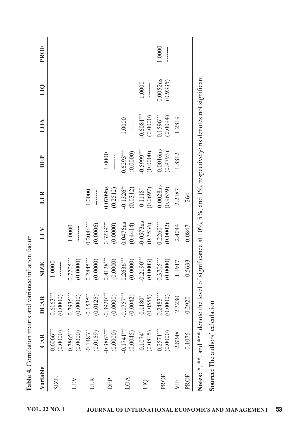| 0.0052ns<br>(0.9335)<br>1.0000<br>$-0.6081***$<br>(0.0000)<br>$0.1596***$<br>(0.0094)<br>1.2819<br>1.0000<br>$-0.0016$ ns<br>$-0.5999***$<br>(0.0000)<br>$0.6293***$<br>(0.0000)<br>(0.9793)<br>1.0000<br>1.8812<br>$\frac{1}{2}$<br>$-0.0028ns$<br>0.0709ns<br>$-0.1326$ **<br>(0.0312)<br>(0.9639)<br>$0.1118^*$<br>(0.0697)<br>(0.2512)<br>2.2187<br>1.0000<br>$\begin{array}{c} \begin{array}{c} \begin{array}{c} \begin{array}{c} \end{array} \\ \begin{array}{c} \end{array} \end{array} \end{array} \end{array}$<br>264<br>$-0.0573$ ns<br>$0.2260***$<br>$0.0476$ ns<br>(0.4414)<br>$0.3239***$<br>(0.0000)<br>(0.3536)<br>(0.0002)<br>$0.2086***$<br>(0.0006)<br>2.4044<br>1.0000<br>0.0847<br>$\begin{matrix} \vdots \\ \vdots \\ \vdots \end{matrix}$<br>$\begin{array}{l} 0.7205^{***} \\ (0.00000) \\ (0.2845^{***} \\ (0.128^{***} \\ (0.4128^{***} \\ (0.0000) \\ (0.0000) \\ (0.0000) \\ (0.0003) \\ (0.0003) \\ \end{array}$<br>(0.0000)<br>$-0.5633$<br>1.1917<br>1.0000<br>$\frac{1}{2}$<br>$-0.7935***$<br>(0.0000)<br>$-0.2483***$<br>$-0.3920***$<br>$-0.1757***$<br>(0.0042)<br>$-0.6163***$<br>$-0.1535***$<br>(0.0000)<br>(0.0000)<br>(0.0000)<br>(0.0125)<br>(0.0555)<br>$0.1180*$<br>2.3280<br>0.2920<br>$-0.2571***$<br>$-0.7865***$<br>$-0.1741***$<br>$-0.3863***$<br>$-0.6066$ **<br>$-0.1483**$<br>(0.0000)<br>(0.0000)<br>(0.0000)<br>(0.0000)<br>(0.0045)<br>(0.0815)<br>(0.0159)<br>$0.1074$ <sup>*</sup><br>2.8248<br>0.1075<br>PROF<br>PROF<br><b>SIZE</b><br>LOA<br>LEV<br><b>DEP</b><br>LLR<br>VIF<br>DIQ | $*$ | ificance at $10\%$ , 5%, and 1%, respectively; ns denotes not significant.<br>; and *** denote the level of sign<br><b>Source:</b> The authors' calculation<br>Notes: *, |        | Variable | CAR | DCAR | <b>SIZE</b> | LEV | LLR | DEP | LOA | <b>DID</b> | <b>PROF</b> |
|--------------------------------------------------------------------------------------------------------------------------------------------------------------------------------------------------------------------------------------------------------------------------------------------------------------------------------------------------------------------------------------------------------------------------------------------------------------------------------------------------------------------------------------------------------------------------------------------------------------------------------------------------------------------------------------------------------------------------------------------------------------------------------------------------------------------------------------------------------------------------------------------------------------------------------------------------------------------------------------------------------------------------------------------------------------------------------------------------------------------------------------------------------------------------------------------------------------------------------------------------------------------------------------------------------------------------------------------------------------------------------------------------------------------------------------------------------------------------------------------------------------------------------------------------|-----|--------------------------------------------------------------------------------------------------------------------------------------------------------------------------|--------|----------|-----|------|-------------|-----|-----|-----|-----|------------|-------------|
|                                                                                                                                                                                                                                                                                                                                                                                                                                                                                                                                                                                                                                                                                                                                                                                                                                                                                                                                                                                                                                                                                                                                                                                                                                                                                                                                                                                                                                                                                                                                                  |     |                                                                                                                                                                          |        |          |     |      |             |     |     |     |     |            |             |
|                                                                                                                                                                                                                                                                                                                                                                                                                                                                                                                                                                                                                                                                                                                                                                                                                                                                                                                                                                                                                                                                                                                                                                                                                                                                                                                                                                                                                                                                                                                                                  |     |                                                                                                                                                                          | 1.0000 |          |     |      |             |     |     |     |     |            |             |
|                                                                                                                                                                                                                                                                                                                                                                                                                                                                                                                                                                                                                                                                                                                                                                                                                                                                                                                                                                                                                                                                                                                                                                                                                                                                                                                                                                                                                                                                                                                                                  |     |                                                                                                                                                                          |        |          |     |      |             |     |     |     |     |            |             |
|                                                                                                                                                                                                                                                                                                                                                                                                                                                                                                                                                                                                                                                                                                                                                                                                                                                                                                                                                                                                                                                                                                                                                                                                                                                                                                                                                                                                                                                                                                                                                  |     |                                                                                                                                                                          |        |          |     |      |             |     |     |     |     |            |             |
|                                                                                                                                                                                                                                                                                                                                                                                                                                                                                                                                                                                                                                                                                                                                                                                                                                                                                                                                                                                                                                                                                                                                                                                                                                                                                                                                                                                                                                                                                                                                                  |     |                                                                                                                                                                          |        |          |     |      |             |     |     |     |     |            |             |
|                                                                                                                                                                                                                                                                                                                                                                                                                                                                                                                                                                                                                                                                                                                                                                                                                                                                                                                                                                                                                                                                                                                                                                                                                                                                                                                                                                                                                                                                                                                                                  |     |                                                                                                                                                                          |        |          |     |      |             |     |     |     |     |            |             |
|                                                                                                                                                                                                                                                                                                                                                                                                                                                                                                                                                                                                                                                                                                                                                                                                                                                                                                                                                                                                                                                                                                                                                                                                                                                                                                                                                                                                                                                                                                                                                  |     |                                                                                                                                                                          |        |          |     |      |             |     |     |     |     |            |             |
|                                                                                                                                                                                                                                                                                                                                                                                                                                                                                                                                                                                                                                                                                                                                                                                                                                                                                                                                                                                                                                                                                                                                                                                                                                                                                                                                                                                                                                                                                                                                                  |     |                                                                                                                                                                          |        |          |     |      |             |     |     |     |     |            |             |
|                                                                                                                                                                                                                                                                                                                                                                                                                                                                                                                                                                                                                                                                                                                                                                                                                                                                                                                                                                                                                                                                                                                                                                                                                                                                                                                                                                                                                                                                                                                                                  |     |                                                                                                                                                                          |        |          |     |      |             |     |     |     |     |            |             |
|                                                                                                                                                                                                                                                                                                                                                                                                                                                                                                                                                                                                                                                                                                                                                                                                                                                                                                                                                                                                                                                                                                                                                                                                                                                                                                                                                                                                                                                                                                                                                  |     |                                                                                                                                                                          |        |          |     |      |             |     |     |     |     |            |             |
|                                                                                                                                                                                                                                                                                                                                                                                                                                                                                                                                                                                                                                                                                                                                                                                                                                                                                                                                                                                                                                                                                                                                                                                                                                                                                                                                                                                                                                                                                                                                                  |     |                                                                                                                                                                          |        |          |     |      |             |     |     |     |     |            |             |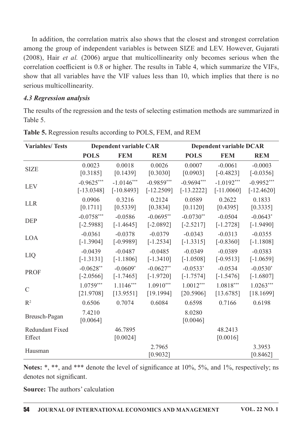In addition, the correlation matrix also shows that the closest and strongest correlation among the group of independent variables is between SIZE and LEV. However, Gujarati  $(2008)$ , Hair *et al.*  $(2006)$  argue that multicollinearity only becomes serious when the correlation coefficient is 0.8 or higher. The results in Table 4, which summarize the VIFs, show that all variables have the VIF values less than 10, which implies that there is no serious multicollinearity.

### **4.3 Regression analysis**

The results of the regression and the tests of selecting estimation methods are summarized in Table 5.

| <b>Variables/Tests</b>           |                    | <b>Dependent variable CAR</b> |                    |                    | Dependent variable DCAR |                    |
|----------------------------------|--------------------|-------------------------------|--------------------|--------------------|-------------------------|--------------------|
|                                  | <b>POLS</b>        | <b>FEM</b>                    | <b>REM</b>         | <b>POLS</b>        | <b>FEM</b>              | <b>REM</b>         |
| <b>SIZE</b>                      | 0.0023             | 0.0018                        | 0.0026             | 0.0007             | $-0.0061$               | $-0.0003$          |
|                                  | [0.3185]           | [0.1439]                      | [0.3030]           | [0.0903]           | $[-0.4823]$             | $[-0.0356]$        |
| <b>LEV</b>                       | $-0.9625***$       | $-1.0146***$                  | $-0.9859***$       | $-0.9694***$       | $-1.0192***$            | $-0.9952***$       |
|                                  | $[-13.0348]$       | $[-10.8493]$                  | $[-12.2509]$       | $[-13.2222]$       | $[-11.0060]$            | $[-12.4620]$       |
| <b>LLR</b>                       | 0.0906             | 0.3216                        | 0.2124             | 0.0589             | 0.2622                  | 0.1833             |
|                                  | [0.1711]           | [0.5339]                      | [0.3834]           | [0.1120]           | [0.4395]                | [0.3335]           |
| <b>DEP</b>                       | $-0.0758***$       | $-0.0586$                     | $-0.0695**$        | $-0.0730**$        | $-0.0504$               | $-0.0643*$         |
|                                  | $[-2.5988]$        | $[-1.4645]$                   | $[-2.0892]$        | $[-2.5217]$        | $[-1.2728]$             | $[-1.9490]$        |
| <b>LOA</b>                       | $-0.0361$          | $-0.0378$                     | $-0.0379$          | $-0.0343$          | $-0.0313$               | $-0.0355$          |
|                                  | $[-1.3904]$        | $[-0.9989]$                   | $[-1.2534]$        | $[-1.3315]$        | $[-0.8360]$             | $[-1.1808]$        |
| LIQ                              | $-0.0439$          | $-0.0487$                     | $-0.0485$          | $-0.0349$          | $-0.0389$               | $-0.0383$          |
|                                  | $[-1.3131]$        | $[-1.1806]$                   | $[-1.3410]$        | $[-1.0508]$        | $[-0.9513]$             | $[-1.0659]$        |
| <b>PROF</b>                      | $-0.0628**$        | $-0.0609*$                    | $-0.0627**$        | $-0.0533*$         | $-0.0534$               | $-0.0530*$         |
|                                  | $[-2.0566]$        | $[-1.7465]$                   | $[-1.9720]$        | $[-1.7574]$        | $[-1.5476]$             | $[-1.6807]$        |
| $\mathcal{C}$                    | $1.0759***$        | $1.1146***$                   | $1.0910***$        | $1.0012***$        | $1.0818***$             | $1.0263***$        |
|                                  | [21.9708]          | [13.9551]                     | [19.1994]          | [20.5906]          | [13.6785]               | [18.1699]          |
| R <sup>2</sup>                   | 0.6506             | 0.7074                        | 0.6084             | 0.6598             | 0.7166                  | 0.6198             |
| Breusch-Pagan                    | 7.4210<br>[0.0064] |                               |                    | 8.0280<br>[0.0046] |                         |                    |
| <b>Redundant Fixed</b><br>Effect |                    | 46.7895<br>[0.0024]           |                    |                    | 48.2413<br>[0.0016]     |                    |
| Hausman                          |                    |                               | 2.7965<br>[0.9032] |                    |                         | 3.3953<br>[0.8462] |

|  | Table 5. Regression results according to POLS, FEM, and REM |  |  |
|--|-------------------------------------------------------------|--|--|
|  |                                                             |  |  |

Notes: \*, \*\*, and \*\*\* denote the level of significance at 10%, 5%, and 1%, respectively; ns denotes not significant.

**Source:** The authors' calculation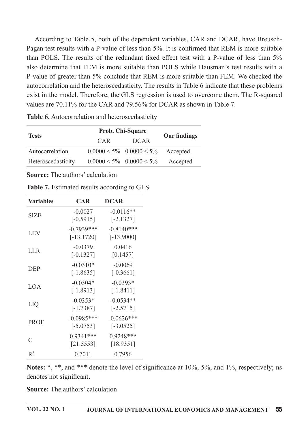According to Table 5, both of the dependent variables, CAR and DCAR, have Breusch-Pagan test results with a P-value of less than 5%. It is confirmed that REM is more suitable than POLS. The results of the redundant fixed effect test with a P-value of less than 5% also determine that FEM is more suitable than POLS while Hausman's test results with a P-value of greater than 5% conclude that REM is more suitable than FEM. We checked the autocorrelation and the heteroscedasticity. The results in Table 6 indicate that these problems exist in the model. Therefore, the GLS regression is used to overcome them. The R-squared values are 70.11% for the CAR and 79.56% for DCAR as shown in Table 7.

|                    |     | <b>Prob. Chi-Square</b>               |                     |  |
|--------------------|-----|---------------------------------------|---------------------|--|
| <b>Tests</b>       | CAR | <b>DCAR</b>                           | <b>Our findings</b> |  |
| Autocorrelation    |     | $0.0000 \le 5\% \quad 0.0000 \le 5\%$ | Accepted            |  |
| Heteroscedasticity |     | $0.0000 \le 5\% \quad 0.0000 \le 5\%$ | Accepted            |  |

Table 6. Autocorrelation and heteroscedasticity

**Source:** The authors' calculation

| <b>Variables</b>  | <b>CAR</b>                   | <b>DCAR</b>                  |
|-------------------|------------------------------|------------------------------|
| <b>SIZE</b>       | $-0.0027$<br>$[-0.5915]$     | $-0.0116**$<br>$[-2.1327]$   |
| <b>LEV</b>        | $-0.7939***$<br>$[-13.1720]$ | $-0.8140***$<br>$[-13.9000]$ |
| <b>LLR</b>        | $-0.0379$<br>$[-0.1327]$     | 0.0416<br>[0.1457]           |
| <b>DEP</b>        | $-0.0310*$<br>$[-1.8635]$    | $-0.0069$<br>$[-0.3661]$     |
| LOA               | $-0.0304*$<br>$[-1.8913]$    | $-0.0393*$<br>$[-1.8411]$    |
| LIQ               | $-0.0353*$<br>$[-1.7387]$    | $-0.0534**$<br>$[-2.5715]$   |
| <b>PROF</b>       | $-0.0985***$<br>$[-5.0753]$  | $-0.0626***$<br>$[-3.0525]$  |
| $\mathcal{C}_{0}$ | $0.9341***$<br>[21.5553]     | $0.9248***$<br>[18.9351]     |
| $R^2$             | 0.7011                       | 0.7956                       |

**Table 7.** Estimated results according to GLS

Notes: \*, \*\*, and \*\*\* denote the level of significance at 10%, 5%, and 1%, respectively; ns denotes not significant.

**Source:** The authors' calculation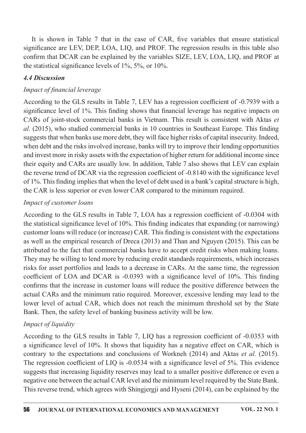It is shown in Table 7 that in the case of CAR, five variables that ensure statistical significance are LEV, DEP, LOA, LIQ, and PROF. The regression results in this table also confirm that DCAR can be explained by the variables SIZE, LEV, LOA, LIQ, and PROF at the statistical significance levels of  $1\%$ ,  $5\%$ , or  $10\%$ .

### 4.4Discussion

### Impact of financial leverage

According to the GLS results in Table 7, LEV has a regression coefficient of -0.7939 with a significance level of  $1\%$ . This finding shows that financial leverage has negative impacts on CARs of joint-stock commercial banks in Vietnam. This result is consistent with Aktas et  $al.$  (2015), who studied commercial banks in 10 countries in Southeast Europe. This finding suggests that when banks use more debt, they will face higher risks of capital insecurity. Indeed, when debt and the risks involved increase, banks will try to improve their lending opportunities and invest more in risky assets with the expectation of higher return for additional income since their equity and CARs are usually low. In addition, Table 7 also shows that LEV can explain the reverse trend of DCAR via the regression coefficient of -0.8140 with the significance level of  $1\%$ . This finding implies that when the level of debt used in a bank's capital structure is high, the CAR is less superior or even lower CAR compared to the minimum required.

### Impact of customer loans

According to the GLS results in Table 7, LOA has a regression coefficient of -0.0304 with the statistical significance level of  $10\%$ . This finding indicates that expanding (or narrowing) customer loans will reduce (or increase) CAR. This finding is consistent with the expectations as well as the empirical research of Dreca  $(2013)$  and Than and Nguyen  $(2015)$ . This can be attributed to the fact that commercial banks have to accept credit risks when making loans. They may be willing to lend more by reducing credit standards requirements, which increases risks for asset portfolios and leads to a decrease in CARs. At the same time, the regression coefficient of LOA and DCAR is  $-0.0393$  with a significance level of 10%. This finding confirms that the increase in customer loans will reduce the positive difference between the actual CARs and the minimum ratio required. Moreover, excessive lending may lead to the lower level of actual CAR, which does not reach the minimum threshold set by the State Bank. Then, the safety level of banking business activity will be low.

## Impact of liquidity

According to the GLS results in Table 7, LIQ has a regression coefficient of -0.0353 with a significance level of 10%. It shows that liquidity has a negative effect on CAR, which is contrary to the expectations and conclusions of Workneh (2014) and Aktas et al. (2015). The regression coefficient of LIQ is  $-0.0534$  with a significance level of 5%. This evidence suggests that increasing liquidity reserves may lead to a smaller positive difference or even a negative one between the actual CAR level and the minimum level required by the State Bank. This reverse trend, which agrees with Shingjergji and Hyseni (2014), can be explained by the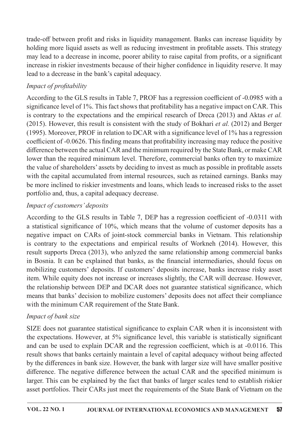trade-off between profit and risks in liquidity management. Banks can increase liquidity by holding more liquid assets as well as reducing investment in profitable assets. This strategy may lead to a decrease in income, poorer ability to raise capital from profits, or a significant increase in riskier investments because of their higher confidence in liquidity reserve. It may lead to a decrease in the bank's capital adequacy.

# Impact of profitability

According to the GLS results in Table 7, PROF has a regression coefficient of -0.0985 with a significance level of 1%. This fact shows that profitability has a negative impact on CAR. This is contrary to the expectations and the empirical research of Dreca (2013) and Aktas *et al.* (2015). However, this result is consistent with the study of Bokhari *et al.* (2012) and Berger (1995). Moreover, PROF in relation to DCAR with a significance level of  $1\%$  has a regression coefficient of -0.0626. This finding means that profitability increasing may reduce the positive difference between the actual CAR and the minimum required by the State Bank, or make CAR lower than the required minimum level. Therefore, commercial banks often try to maximize the value of shareholders' assets by deciding to invest as much as possible in profitable assets with the capital accumulated from internal resources, such as retained earnings. Banks may be more inclined to riskier investments and loans, which leads to increased risks to the asset portfolio and, thus, a capital adequacy decrease.

# Impact of customers' deposits

According to the GLS results in Table 7, DEP has a regression coefficient of -0.0311 with a statistical significance of 10%, which means that the volume of customer deposits has a negative impact on CARs of joint-stock commercial banks in Vietnam. This relationship is contrary to the expectations and empirical results of Workneh (2014). However, this result supports Dreca (2013), who anlyzed the same relationship among commercial banks in Bosnia. It can be explained that banks, as the financial intermediaries, should focus on mobilizing customers' deposits. If customers' deposits increase, banks increase risky asset item. While equity does not increase or increases slightly, the CAR will decrease. However, the relationship between DEP and DCAR does not guarantee statistical significance, which means that banks' decision to mobilize customers' deposits does not affect their compliance with the minimum CAR requirement of the State Bank.

## Impact of bank size

SIZE does not guarantee statistical significance to explain CAR when it is inconsistent with the expectations. However, at  $5\%$  significance level, this variable is statistically significant and can be used to explain DCAR and the regression coefficient, which is at -0.0116. This result shows that banks certainly maintain a level of capital adequacy without being affected by the differences in bank size. However, the bank with larger size will have smaller positive difference. The negative difference between the actual CAR and the specified minimum is larger. This can be explained by the fact that banks of larger scales tend to establish riskier asset portfolios. Their CARs just meet the requirements of the State Bank of Vietnam on the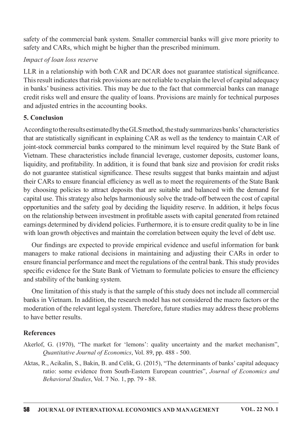safety of the commercial bank system. Smaller commercial banks will give more priority to safety and CARs, which might be higher than the prescribed minimum.

## Impact of loan loss reserve

LLR in a relationship with both CAR and DCAR does not guarantee statistical significance. This result indicates that risk provisions are not reliable to explain the level of capital adequacy in banks' business activities. This may be due to the fact that commercial banks can manage credit risks well and ensure the quality of loans. Provisions are mainly for technical purposes and adjusted entries in the accounting books.

## 5.Conclusion

According to the results estimated by the GLS method, the study summarizes banks' characteristics that are statistically significant in explaining CAR as well as the tendency to maintain CAR of joint-stock commercial banks compared to the minimum level required by the State Bank of Vietnam. These characteristics include financial leverage, customer deposits, customer loans, liquidity, and profitability. In addition, it is found that bank size and provision for credit risks do not guarantee statistical significance. These results suggest that banks maintain and adjust their CARs to ensure financial efficiency as well as to meet the requirements of the State Bank by choosing policies to attract deposits that are suitable and balanced with the demand for capital use. This strategy also helps harmoniously solve the trade-off between the cost of capital opportunities and the safety goal by deciding the liquidity reserve. In addition, it helps focus on the relationship between investment in profitable assets with capital generated from retained earnings determined by dividend policies. Furthermore, it is to ensure credit quality to be in line with loan growth objectives and maintain the correlation between equity the level of debt use.

Our findings are expected to provide empirical evidence and useful information for bank managers to make rational decisions in maintaining and adjusting their CARs in order to ensure financial performance and meet the regulations of the central bank. This study provides specific evidence for the State Bank of Vietnam to formulate policies to ensure the efficiency and stability of the banking system.

One limitation of this study is that the sample of this study does not include all commercial banks in Vietnam. In addition, the research model has not considered the macro factors or the moderation of the relevant legal system. Therefore, future studies may address these problems to have better results.

## References

- Akerlof, G. (1970), "The market for 'lemons': quality uncertainty and the market mechanism", Quantitative Journal of Economics, Vol. 89, pp. 488 - 500.
- Aktas, R., Acikalin, S., Bakin, B. and Celik, G. (2015), "The determinants of banks' capital adequacy ratio: some evidence from South-Eastern European countries", Journal of Economics and Behavioral Studies, Vol. 7 No. 1, pp. 79 - 88.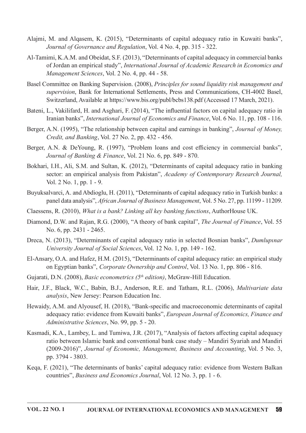- Alajmi, M. and Alqasem, K. (2015), "Determinants of capital adequacy ratio in Kuwaiti banks", Journal of Governance and Regulation, Vol. 4 No. 4, pp. 315 - 322.
- Al-Tamimi, K.A.M. and Obeidat, S.F. (2013), "Determinants of capital adequacy in commercial banks of Jordan an empirical study", International Journal of Academic Research in Economics and Management Sciences, Vol. 2 No. 4, pp. 44 - 58.
- Basel Committee on Banking Supervision. (2008), Principles for sound liquidity risk management and supervision, Bank for International Settlements, Press and Communications, CH-4002 Basel, Switzerland, Available at https://www.bis.org/publ/bcbs138.pdf (Accessed 17 March, 2021).
- Bateni, L., Vakilifard, H. and Asghari, F. (2014), "The influential factors on capital adequacy ratio in Iranian banks", International Journal of Economics and Finance, Vol. 6 No. 11, pp. 108 - 116.
- Berger, A.N. (1995), "The relationship between capital and earnings in banking", Journal of Money, Credit, and Banking, Vol. 27 No. 2, pp. 432 - 456.
- Berger, A.N. & DeYoung, R. (1997), "Problem loans and cost efficiency in commercial banks", Journal of Banking & Finance, Vol. 21 No. 6, pp. 849 - 870.
- Bokhari, I.H., Ali, S.M. and Sultan, K. (2012), "Determinants of capital adequacy ratio in banking sector: an empirical analysis from Pakistan", Academy of Contemporary Research Journal, Vol.  $2$  No.  $1$ , pp.  $1 - 9$ .
- Buyuksalvarci, A. and Abdioglu, H. (2011), "Determinants of capital adequacy ratio in Turkish banks: a panel data analysis", African Journal of Business Management, Vol. 5 No. 27, pp. 11199 - 11209.
- Claessens, R. (2010), What is a bank? Linking all key banking functions, AuthorHouse UK.
- Diamond, D.W. and Rajan, R.G. (2000), "A theory of bank capital", The Journal of Finance, Vol. 55 No. 6, pp. 2431 - 2465.
- Dreca, N. (2013), "Determinants of capital adequacy ratio in selected Bosnian banks", Dumlupinar University Journal of Social Sciences, Vol. 12 No. 1, pp. 149 - 162.
- El-Ansary, O.A. and Hafez, H.M. (2015), "Determinants of capital adequacy ratio: an empirical study on Egyptian banks", *Corporate Ownership and Control*, Vol. 13 No. 1, pp. 806 - 816.
- Gujarati, D.N. (2008), Basic econometrics ( $5<sup>th</sup>$  edition), McGraw-Hill Education.
- Hair, J.F., Black, W.C., Babin, B.J., Anderson, R.E. and Tatham, R.L. (2006), *Multivariate data* analysis, New Jersey: Pearson Education Inc.
- Hewaidy, A.M. and Alyousef, H. (2018), "Bank-specific and macroeconomic determinants of capital adequacy ratio: evidence from Kuwaiti banks", European Journal of Economics, Finance and Administrative Sciences, No. 99, pp. 5 - 20.
- Kasmadi, K.A., Lambey, L. and Tumiwa, J.R. (2017), "Analysis of factors affecting capital adequacy ratio between Islamic bank and conventional bank case study – Mandiri Syariah and Mandiri (2009-2016)", Journal of Economic, Management, Business and Accounting, Vol. 5 No. 3, pp. 3794 - 3803.
- Keqa, F. (2021), "The determinants of banks' capital adequacy ratio: evidence from Western Balkan countries", Business and Economics Journal, Vol. 12 No. 3, pp. 1 - 6.